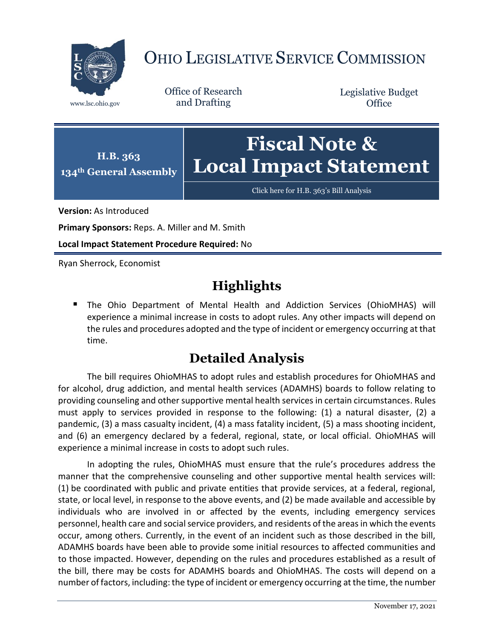

## OHIO LEGISLATIVE SERVICE COMMISSION

Office of Research www.lsc.ohio.gov and Drafting

Legislative Budget **Office** 



[Click here for H.B. 363](https://www.legislature.ohio.gov/legislation/legislation-documents?id=GA134-HB-363)'s Bill Analysis

**Version:** As Introduced

**Primary Sponsors:** Reps. A. Miller and M. Smith

**Local Impact Statement Procedure Required:** No

Ryan Sherrock, Economist

## **Highlights**

 The Ohio Department of Mental Health and Addiction Services (OhioMHAS) will experience a minimal increase in costs to adopt rules. Any other impacts will depend on the rules and procedures adopted and the type of incident or emergency occurring at that time.

## **Detailed Analysis**

The bill requires OhioMHAS to adopt rules and establish procedures for OhioMHAS and for alcohol, drug addiction, and mental health services (ADAMHS) boards to follow relating to providing counseling and other supportive mental health services in certain circumstances. Rules must apply to services provided in response to the following: (1) a natural disaster, (2) a pandemic, (3) a mass casualty incident, (4) a mass fatality incident, (5) a mass shooting incident, and (6) an emergency declared by a federal, regional, state, or local official. OhioMHAS will experience a minimal increase in costs to adopt such rules.

In adopting the rules, OhioMHAS must ensure that the rule's procedures address the manner that the comprehensive counseling and other supportive mental health services will: (1) be coordinated with public and private entities that provide services, at a federal, regional, state, or local level, in response to the above events, and (2) be made available and accessible by individuals who are involved in or affected by the events, including emergency services personnel, health care and social service providers, and residents of the areas in which the events occur, among others. Currently, in the event of an incident such as those described in the bill, ADAMHS boards have been able to provide some initial resources to affected communities and to those impacted. However, depending on the rules and procedures established as a result of the bill, there may be costs for ADAMHS boards and OhioMHAS. The costs will depend on a number of factors, including: the type of incident or emergency occurring at the time, the number